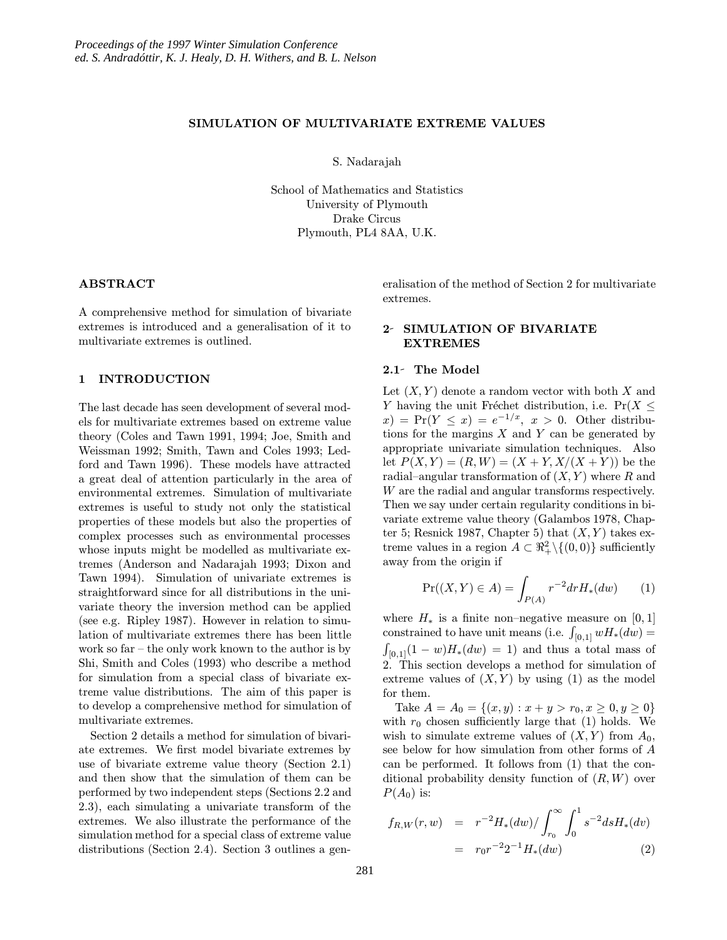### SIMULATION OF MULTIVARIATE EXTREME VALUES

S. Nadarajah

School of Mathematics and Statistics University of Plymouth Drake Circus Plymouth, PL4 8AA, U.K.

### ABSTRACT

A comprehensive method for simulation of bivariate extremes is introduced and a generalisation of it to multivariate extremes is outlined.

### 1 INTRODUCTION

The last decade has seen development of several models for multivariate extremes based on extreme value theory (Coles and Tawn 1991, 1994; Joe, Smith and Weissman 1992; Smith, Tawn and Coles 1993; Ledford and Tawn 1996). These models have attracted a great deal of attention particularly in the area of environmental extremes. Simulation of multivariate extremes is useful to study not only the statistical properties of these models but also the properties of complex processes such as environmental processes whose inputs might be modelled as multivariate extremes (Anderson and Nadarajah 1993; Dixon and Tawn 1994). Simulation of univariate extremes is straightforward since for all distributions in the univariate theory the inversion method can be applied (see e.g. Ripley 1987). However in relation to simulation of multivariate extremes there has been little work so far – the only work known to the author is by Shi, Smith and Coles (1993) who describe a method for simulation from a special class of bivariate extreme value distributions. The aim of this paper is to develop a comprehensive method for simulation of multivariate extremes.

Section 2 details a method for simulation of bivariate extremes. We first model bivariate extremes by use of bivariate extreme value theory (Section 2.1) and then show that the simulation of them can be performed by two independent steps (Sections 2.2 and 2.3), each simulating a univariate transform of the extremes. We also illustrate the performance of the simulation method for a special class of extreme value distributions (Section 2.4). Section 3 outlines a generalisation of the method of Section 2 for multivariate extremes.

## 2- SIMULATION OF BIVARIATE **EXTREMES**

### 2.1- The Model

Let  $(X, Y)$  denote a random vector with both X and Y having the unit Fréchet distribution, i.e.  $Pr(X \leq$  $f(x) = \Pr(Y \leq x) = e^{-1/x}, \ x > 0.$  Other distributions for the margins  $X$  and  $Y$  can be generated by appropriate univariate simulation techniques. Also let  $P(X, Y) = (R, W) = (X + Y, X/(X + Y))$  be the radial–angular transformation of  $(X, Y)$  where R and W are the radial and angular transforms respectively. Then we say under certain regularity conditions in bivariate extreme value theory (Galambos 1978, Chapter 5; Resnick 1987, Chapter 5) that  $(X, Y)$  takes extreme values in a region  $A \subset \mathbb{R}^2_+ \setminus \{(0, 0)\}$  sufficiently away from the origin if

$$
\Pr((X, Y) \in A) = \int_{P(A)} r^{-2} dr H_*(dw) \tag{1}
$$

where  $H_*$  is a finite non–negative measure on [0, 1] constrained to have unit means (i.e.  $\int_{[0,1]} w H_*(dw) =$  $\int_{[0,1]}(1-w)H_*(dw) = 1$  and thus a total mass of 2. This section develops a method for simulation of extreme values of  $(X, Y)$  by using (1) as the model for them.

Take  $A = A_0 = \{(x, y) : x + y > r_0, x \ge 0, y \ge 0\}$ with  $r_0$  chosen sufficiently large that (1) holds. We wish to simulate extreme values of  $(X, Y)$  from  $A_0$ , see below for how simulation from other forms of A can be performed. It follows from (1) that the conditional probability density function of  $(R, W)$  over  $P(A_0)$  is:

$$
f_{R,W}(r, w) = r^{-2} H_*(dw) / \int_{r_0}^{\infty} \int_0^1 s^{-2} ds H_*(dv)
$$
  
=  $r_0 r^{-2} 2^{-1} H_*(dw)$  (2)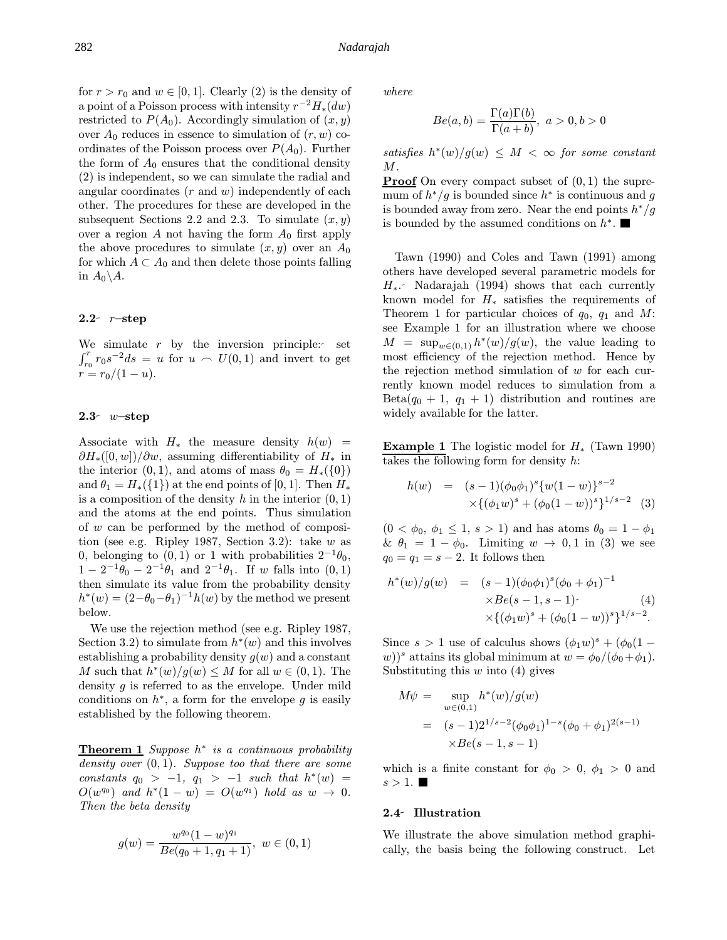for  $r > r_0$  and  $w \in [0, 1]$ . Clearly (2) is the density of a point of a Poisson process with intensity  $r^{-2}H_*(dw)$ restricted to  $P(A_0)$ . Accordingly simulation of  $(x, y)$ over  $A_0$  reduces in essence to simulation of  $(r, w)$  coordinates of the Poisson process over  $P(A_0)$ . Further the form of  $A_0$  ensures that the conditional density (2) is independent, so we can simulate the radial and angular coordinates  $(r \text{ and } w)$  independently of each other. The procedures for these are developed in the subsequent Sections 2.2 and 2.3. To simulate  $(x, y)$ over a region A not having the form  $A_0$  first apply the above procedures to simulate  $(x, y)$  over an  $A_0$ for which  $A \subset A_0$  and then delete those points falling in  $A_0 \backslash A$ .

### 2.2- $r$ –step

We simulate  $r$  by the inversion principle: set  $\int_{r_0}^r r_0 s^{-2} ds = u$  for  $u \sim U(0, 1)$  and invert to get  $r = r_0/(1-u)$ .

#### $2.3$ - w-step

Associate with  $H_*$  the measure density  $h(w)$  =  $\partial H_*(0, w)/\partial w$ , assuming differentiability of  $H_*$  in the interior  $(0, 1)$ , and atoms of mass  $\theta_0 = H_*(\{0\})$ and  $\theta_1 = H_*(\{1\})$  at the end points of [0, 1]. Then  $H_*$ is a composition of the density h in the interior  $(0, 1)$ and the atoms at the end points. Thus simulation of w can be performed by the method of composition (see e.g. Ripley 1987, Section 3.2): take  $w$  as 0, belonging to  $(0, 1)$  or 1 with probabilities  $2^{-1}\theta_0$ ,  $1 - 2^{-1}\theta_0 - 2^{-1}\theta_1$  and  $2^{-1}\theta_1$ . If w falls into  $(0, 1)$ then simulate its value from the probability density  $h^*(w) = (2-\theta_0-\theta_1)^{-1}h(w)$  by the method we present below.

We use the rejection method (see e.g. Ripley 1987, Section 3.2) to simulate from  $h^*(w)$  and this involves establishing a probability density  $g(w)$  and a constant M such that  $h^*(w)/g(w) \leq M$  for all  $w \in (0,1)$ . The density  $g$  is referred to as the envelope. Under mild conditions on  $h^*$ , a form for the envelope g is easily established by the following theorem.

**Theorem 1** Suppose  $h^*$  is a continuous probability density over  $(0, 1)$ . Suppose too that there are some constants  $q_0 > -1$ ,  $q_1 > -1$  such that  $h^*(w) =$  $O(w^{q_0})$  and  $h^*(1-w) = O(w^{q_1})$  hold as  $w \rightarrow 0$ . Then the beta density

$$
g(w)=\frac{w^{q_0}(1-w)^{q_1}}{Be(q_0+1,q_1+1)},\ w\in(0,1)
$$

where

$$
Be(a,b) = \frac{\Gamma(a)\Gamma(b)}{\Gamma(a+b)}, \ a > 0, b > 0
$$

satisfies  $h^*(w)/g(w) \leq M < \infty$  for some constant  $M$  .

**Proof** On every compact subset of  $(0, 1)$  the supremum of  $h^*/g$  is bounded since  $h^*$  is continuous and g is bounded away from zero. Near the end points  $h^*/g$ is bounded by the assumed conditions on  $h^*$ . ■

Tawn (1990) and Coles and Tawn (1991) among others have developed several parametric models for  $H_*$ . Nadarajah (1994) shows that each currently known model for  $H_*$  satisfies the requirements of Theorem 1 for particular choices of  $q_0$ ,  $q_1$  and M: see Example 1 for an illustration where we choose  $M = \sup_{w \in (0,1)} h^*(w)/g(w)$ , the value leading to most efficiency of the rejection method. Hence by the rejection method simulation of  $w$  for each currently known model reduces to simulation from a  $Beta(q_0 + 1, q_1 + 1)$  distribution and routines are widely available for the latter.

**Example 1** The logistic model for  $H_*($  (Tawn 1990) takes the following form for density h:

$$
h(w) = (s-1)(\phi_0 \phi_1)^s \{w(1-w)\}^{s-2}
$$
  
 
$$
\times \{(\phi_1 w)^s + (\phi_0 (1-w))^s\}^{1/s-2}
$$
 (3)

 $(0 < \phi_0, \phi_1 \leq 1, s > 1)$  and has atoms  $\theta_0 = 1 - \phi_1$ &  $\theta_1 = 1 - \phi_0$ . Limiting  $w \to 0, 1$  in (3) we see  $q_0 = q_1 = s - 2$ . It follows then

$$
h^*(w)/g(w) = (s-1)(\phi_0 \phi_1)^s (\phi_0 + \phi_1)^{-1}
$$
  
×*Be*(*s* - 1, *s* - 1) - (4)  
×{ $(\phi_1 w)^s + (\phi_0 (1 - w))^s$ }<sup>1/s-2</sup>.

Since  $s > 1$  use of calculus shows  $(\phi_1 w)^s + (\phi_0 (1$ w))<sup>s</sup> attains its global minimum at  $w = \phi_0/(\phi_0 + \phi_1)$ . Substituting this  $w$  into (4) gives

$$
M\psi = \sup_{w \in (0,1)} h^*(w)/g(w)
$$
  
=  $(s-1)2^{1/s-2}(\phi_0\phi_1)^{1-s}(\phi_0 + \phi_1)^{2(s-1)}$   
 $\times Be(s-1, s-1)$ 

which is a finite constant for  $\phi_0 > 0$ ,  $\phi_1 > 0$  and  $s > 1$ .

#### 2.4 Illustration

We illustrate the above simulation method graphically, the basis being the following construct. Let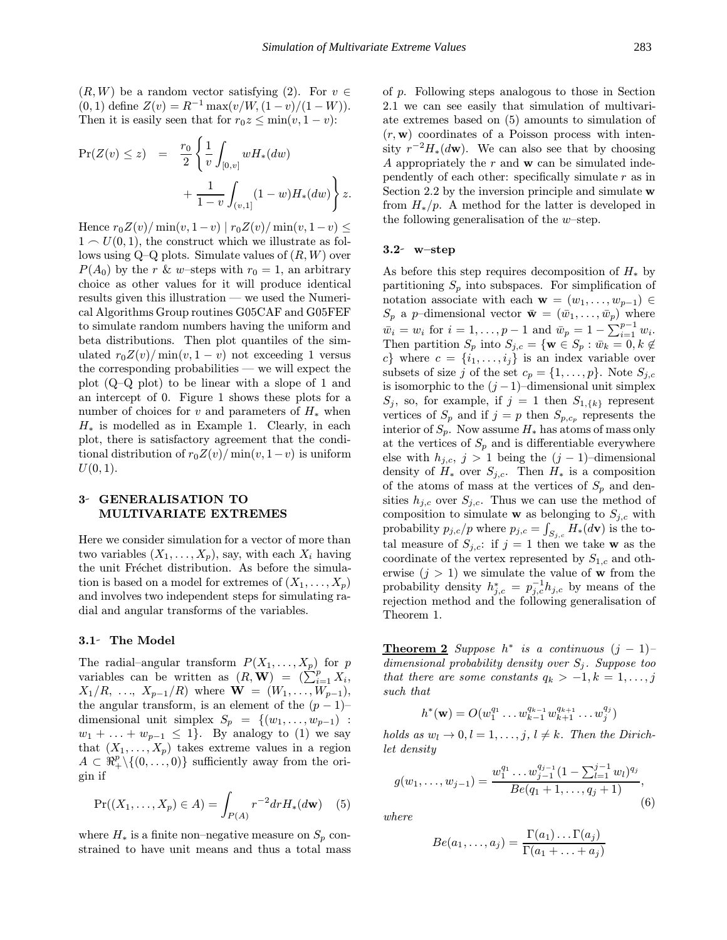$(R, W)$  be a random vector satisfying (2). For  $v \in$ (0, 1) define  $Z(v) = R^{-1} \max(v/W, (1-v)/(1-W)).$ Then it is easily seen that for  $r_0z \le \min(v, 1 - v)$ :

$$
\begin{array}{rcl} \Pr(Z(v) \leq z) & = & \frac{r_0}{2} \left\{ \frac{1}{v} \int_{[0,v]} w H_*(dw) \right. \\ & & \left. + \frac{1}{1-v} \int_{(v,1]} (1-w) H_*(dw) \right\} z. \end{array}
$$

Hence  $r_0Z(v)/\min(v, 1-v) | r_0Z(v)/\min(v, 1-v) \leq$  $1 \sim U(0, 1)$ , the construct which we illustrate as follows using  $Q-Q$  plots. Simulate values of  $(R, W)$  over  $P(A_0)$  by the r & w-steps with  $r_0 = 1$ , an arbitrary choice as other values for it will produce identical results given this illustration — we used the Numerical Algorithms Group routines G05CAF and G05FEF to simulate random numbers having the uniform and beta distributions. Then plot quantiles of the simulated  $r_0Z(v)/\min(v, 1 - v)$  not exceeding 1 versus the corresponding probabilities — we will expect the plot (Q–Q plot) to be linear with a slope of 1 and an intercept of 0. Figure 1 shows these plots for a number of choices for v and parameters of  $H_*$  when  $H_*$  is modelled as in Example 1. Clearly, in each plot, there is satisfactory agreement that the conditional distribution of  $r_0Z(v)/\min(v, 1-v)$  is uniform  $U(0, 1)$ .

### 3- GENERALISATION TO MULTIVARIATE EXTREMES

Here we consider simulation for a vector of more than two variables  $(X_1, \ldots, X_p)$ , say, with each  $X_i$  having the unit Fréchet distribution. As before the simulation is based on a model for extremes of  $(X_1, \ldots, X_p)$ and involves two independent steps for simulating radial and angular transforms of the variables.

#### 3.1- The Model

The radial–angular transform  $P(X_1, \ldots, X_p)$  for p variables can be written as  $(R, \mathbf{W}) = (\sum_{i=1}^{P} X_i,$  $X_1/R, \ldots, X_{p-1}/R$  where  $\mathbf{W} = (W_1, \ldots, W_{p-1}),$ the angular transform, is an element of the  $(p-1)$ – dimensional unit simplex  $S_p = \{(w_1, \ldots, w_{p-1})$ :  $w_1 + \ldots + w_{p-1} \leq 1$ . By analogy to (1) we say that  $(X_1, \ldots, X_p)$  takes extreme values in a region  $A \subset \mathbb{R}_+^p \setminus \{(0, \ldots, 0)\}\$  sufficiently away from the origin if

$$
\Pr((X_1, \dots, X_p) \in A) = \int_{P(A)} r^{-2} dr H_*(d\mathbf{w}) \quad (5)
$$

where  $H_*$  is a finite non–negative measure on  $S_p$  constrained to have unit means and thus a total mass of p. Following steps analogous to those in Section 2.1 we can see easily that simulation of multivariate extremes based on (5) amounts to simulation of  $(r, \mathbf{w})$  coordinates of a Poisson process with intensity  $r^{-2}H_*(d\mathbf{w})$ . We can also see that by choosing A appropriately the  $r$  and  $\bf{w}$  can be simulated independently of each other: specifically simulate  $r$  as in Section 2.2 by the inversion principle and simulate  $\bf{w}$ from  $H_*/p$ . A method for the latter is developed in the following generalisation of the  $w$ -step.

#### $3.2^{\circ}$  w-step

As before this step requires decomposition of  $H_*$  by partitioning  $S_p$  into subspaces. For simplification of notation associate with each  $\mathbf{w} = (w_1, \ldots, w_{p-1}) \in$  $S_p$  a p–dimensional vector  $\bar{\mathbf{w}} = (\bar{w}_1, \ldots, \bar{w}_p)$  where  $\bar{w}_i = w_i$  for  $i = 1, \ldots, p - 1$  and  $\bar{w}_p = 1 - \sum_{i=1}^{p-1} w_i$ . Then partition  $S_p$  into  $S_{j,c} = \{ \mathbf{w} \in S_p : \bar{w}_k = 0, k \notin \}$ c} where  $c = \{i_1, \ldots, i_j\}$  is an index variable over subsets of size j of the set  $c_p = \{1, \ldots, p\}$ . Note  $S_{i,c}$ is isomorphic to the  $(j-1)$ –dimensional unit simplex  $S_j$ , so, for example, if  $j = 1$  then  $S_{1,\{k\}}$  represent vertices of  $S_p$  and if  $j = p$  then  $S_{p,c_p}$  represents the interior of  $S_p$ . Now assume  $H_*$  has atoms of mass only at the vertices of  $S_p$  and is differentiable everywhere else with  $h_{j,c}, j > 1$  being the  $(j-1)$ –dimensional density of  $H_*$  over  $S_{j,c}$ . Then  $H_*$  is a composition of the atoms of mass at the vertices of  $S_p$  and densities  $h_{j,c}$  over  $S_{j,c}$ . Thus we can use the method of composition to simulate **w** as belonging to  $S_{j,c}$  with probability  $p_{j,c}/p$  where  $p_{j,c} = \int_{S_{j,c}} H_*(d\mathbf{v})$  is the total measure of  $S_{j,c}$ : if  $j = 1$  then we take w as the coordinate of the vertex represented by  $S_{1,c}$  and otherwise  $(j > 1)$  we simulate the value of **w** from the probability density  $h_{j,c}^* = p_{j,c}^{-1} h_{j,c}$  by means of the rejection method and the following generalisation of Theorem 1.

**Theorem 2** Suppose  $h^*$  is a continuous  $(j - 1)$ dimensional probability density over  $S_i$ . Suppose too that there are some constants  $q_k > -1, k = 1, \ldots, j$ such that

$$
h^*(\mathbf{w}) = O(w_1^{q_1} \dots w_{k-1}^{q_{k-1}} w_{k+1}^{q_{k+1}} \dots w_j^{q_j})
$$

holds as  $w_l \to 0, l = 1, \ldots, j, l \neq k$ . Then the Dirichlet density

$$
g(w_1,\ldots,w_{j-1})=\frac{w_1^{q_1}\ldots w_{j-1}^{q_{j-1}}(1-\sum_{l=1}^{j-1}w_l)^{q_j}}{Be(q_1+1,\ldots,q_j+1)},\qquad(6)
$$

where

$$
Be(a_1,...,a_j) = \frac{\Gamma(a_1)... \Gamma(a_j)}{\Gamma(a_1+...+a_j)}
$$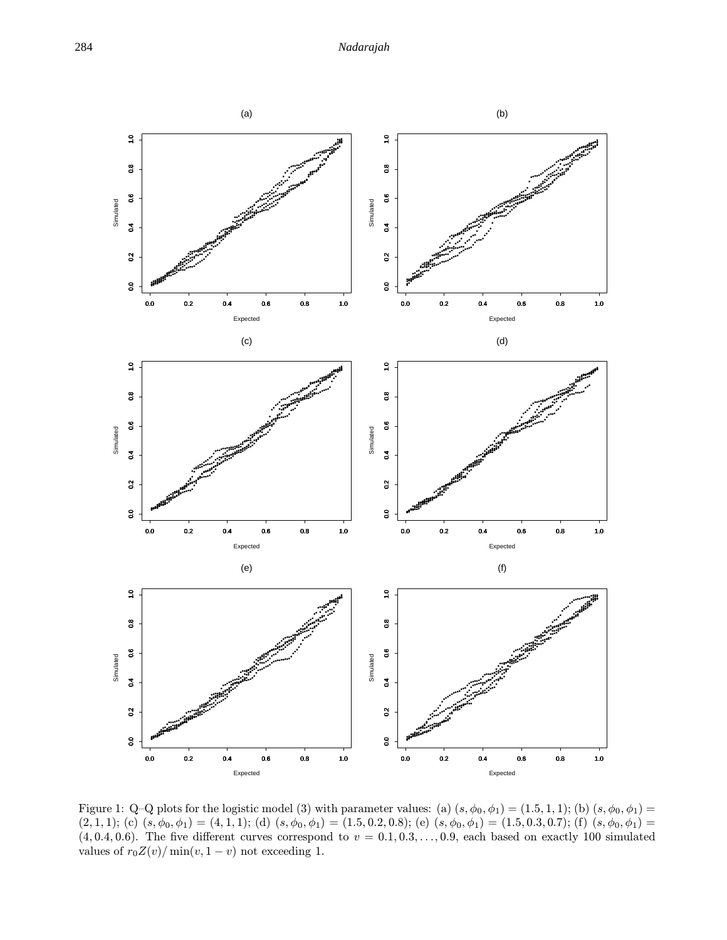

Figure 1: Q-Q plots for the logistic model (3) with parameter values: (a)  $(s, \phi_0, \phi_1) = (1.5, 1, 1);$  (b)  $(s, \phi_0, \phi_1) =$  $(2,1,1);$  (c)  $(s,\phi_0,\phi_1) = (4,1,1);$  (d)  $(s,\phi_0,\phi_1) = (1.5,0.2,0.8);$  (e)  $(s,\phi_0,\phi_1) = (1.5,0.3,0.7);$  (f)  $(s,\phi_0,\phi_1) = (1.5,0.3,0.7);$  $(4, 0.4, 0.6)$ . The five different curves correspond to  $v = 0.1, 0.3, \ldots, 0.9$ , each based on exactly 100 simulated values of  $r_0 Z(v) / \min(v, 1 - v)$  not exceeding 1.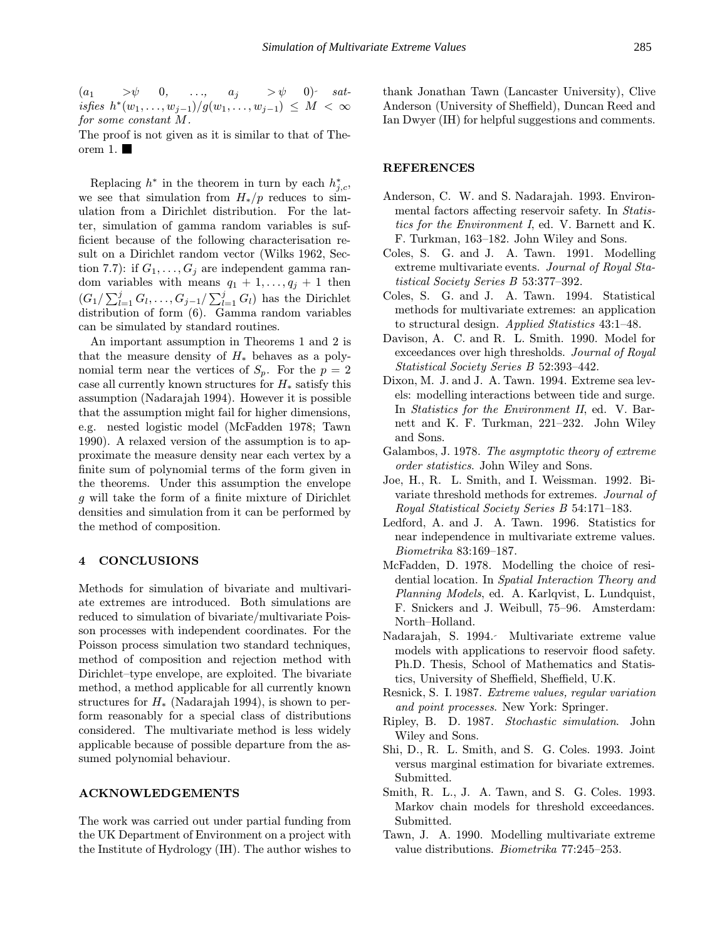$(a_1 \quad >\psi \quad 0, \quad \ldots, \quad a_j \quad >\psi \quad 0)$  sat*isfies*  $h^*(w_1, ..., w_{j-1})/g(w_1, ..., w_{j-1}) \leq M < \infty$ for some constant M.

The proof is not given as it is similar to that of Theorem 1. $\blacksquare$ 

Replacing  $h^*$  in the theorem in turn by each  $h_{j,c}^*$ , we see that simulation from  $H_*/p$  reduces to simulation from a Dirichlet distribution. For the latter, simulation of gamma random variables is sufficient because of the following characterisation result on a Dirichlet random vector (Wilks 1962, Section 7.7): if  $G_1, \ldots, G_j$  are independent gamma random variables with means  $q_1 + 1, \ldots, q_j + 1$  then  $(G_1/\sum_{l=1}^j G_l,\ldots,G_{j-1}/\sum_{l=1}^j G_l)$  has the Dirichlet distribution of form (6). Gamma random variables can be simulated by standard routines.

An important assumption in Theorems 1 and 2 is that the measure density of  $H_*$  behaves as a polynomial term near the vertices of  $S_p$ . For the  $p = 2$ case all currently known structures for  $H_*$  satisfy this assumption (Nadarajah 1994). However it is possible that the assumption might fail for higher dimensions, e.g. nested logistic model (McFadden 1978; Tawn 1990). A relaxed version of the assumption is to approximate the measure density near each vertex by a finite sum of polynomial terms of the form given in the theorems. Under this assumption the envelope g will take the form of a finite mixture of Dirichlet densities and simulation from it can be performed by the method of composition.

### 4 CONCLUSIONS

Methods for simulation of bivariate and multivariate extremes are introduced. Both simulations are reduced to simulation of bivariate/multivariate Poisson processes with independent coordinates. For the Poisson process simulation two standard techniques, method of composition and rejection method with Dirichlet–type envelope, are exploited. The bivariate method, a method applicable for all currently known structures for  $H_*$  (Nadarajah 1994), is shown to perform reasonably for a special class of distributions considered. The multivariate method is less widely applicable because of possible departure from the assumed polynomial behaviour.

### ACKNOWLEDGEMENTS

The work was carried out under partial funding from the UK Department of Environment on a project with the Institute of Hydrology (IH). The author wishes to thank Jonathan Tawn (Lancaster University), Clive Anderson (University of Sheffield), Duncan Reed and Ian Dwyer (IH) for helpful suggestions and comments.

#### REFERENCES

- Anderson, C. W. and S. Nadarajah. 1993. Environmental factors affecting reservoir safety. In Statistics for the Environment I, ed. V. Barnett and K. F. Turkman, 163–182. John Wiley and Sons.
- Coles, S. G. and J. A. Tawn. 1991. Modelling extreme multivariate events. Journal of Royal Statistical Society Series B 53:377–392.
- Coles, S. G. and J. A. Tawn. 1994. Statistical methods for multivariate extremes: an application to structural design. Applied Statistics 43:1–48.
- Davison, A. C. and R. L. Smith. 1990. Model for exceedances over high thresholds. Journal of Royal Statistical Society Series B 52:393–442.
- Dixon, M. J. and J. A. Tawn. 1994. Extreme sea levels: modelling interactions between tide and surge. In *Statistics for the Environment II*, ed. V. Barnett and K. F. Turkman, 221–232. John Wiley and Sons.
- Galambos, J. 1978. The asymptotic theory of extreme order statistics. John Wiley and Sons.
- Joe, H., R. L. Smith, and I. Weissman. 1992. Bivariate threshold methods for extremes. Journal of Royal Statistical Society Series B 54:171–183.
- Ledford, A. and J. A. Tawn. 1996. Statistics for near independence in multivariate extreme values. Biometrika 83:169–187.
- McFadden, D. 1978. Modelling the choice of residential location. In Spatial Interaction Theory and Planning Models, ed. A. Karlqvist, L. Lundquist, F. Snickers and J. Weibull, 75–96. Amsterdam: North–Holland.
- Nadarajah, S. 1994. Multivariate extreme value models with applications to reservoir flood safety. Ph.D. Thesis, School of Mathematics and Statistics, University of Sheffield, Sheffield, U.K.
- Resnick, S. I. 1987. Extreme values, regular variation and point processes. New York: Springer.
- Ripley, B. D. 1987. Stochastic simulation. John Wiley and Sons.
- Shi, D., R. L. Smith, and S. G. Coles. 1993. Joint versus marginal estimation for bivariate extremes. Submitted.
- Smith, R. L., J. A. Tawn, and S. G. Coles. 1993. Markov chain models for threshold exceedances. Submitted.
- Tawn, J. A. 1990. Modelling multivariate extreme value distributions. Biometrika 77:245–253.